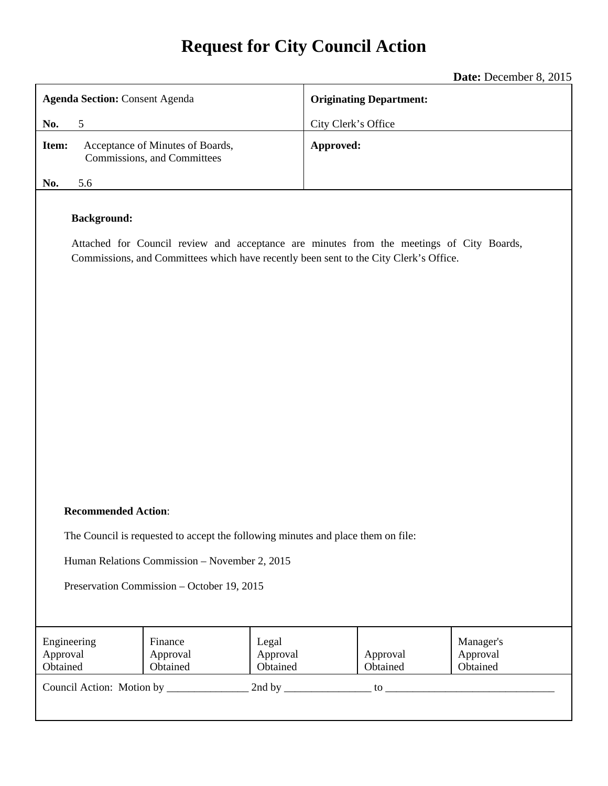# **Request for City Council Action**

|                                                                                                             | Date: December 8, 2015                                                                   |  |  |  |  |  |
|-------------------------------------------------------------------------------------------------------------|------------------------------------------------------------------------------------------|--|--|--|--|--|
| <b>Agenda Section: Consent Agenda</b>                                                                       | <b>Originating Department:</b>                                                           |  |  |  |  |  |
| 5<br>No.                                                                                                    | City Clerk's Office                                                                      |  |  |  |  |  |
| Acceptance of Minutes of Boards,<br>Item:<br>Commissions, and Committees                                    | Approved:                                                                                |  |  |  |  |  |
| 5.6<br>No.                                                                                                  |                                                                                          |  |  |  |  |  |
| <b>Background:</b><br>Commissions, and Committees which have recently been sent to the City Clerk's Office. | Attached for Council review and acceptance are minutes from the meetings of City Boards, |  |  |  |  |  |
| <b>Recommended Action:</b>                                                                                  |                                                                                          |  |  |  |  |  |
| The Council is requested to accept the following minutes and place them on file:                            |                                                                                          |  |  |  |  |  |

Human Relations Commission – November 2, 2015

Preservation Commission – October 19, 2015

| Engineering               | Finance              | Legal                |                      | Manager's            |
|---------------------------|----------------------|----------------------|----------------------|----------------------|
| Approval<br>Obtained      | Approval<br>Obtained | Approval<br>Obtained | Approval<br>Obtained | Approval<br>Obtained |
| Council Action: Motion by |                      | 2nd by               | to                   |                      |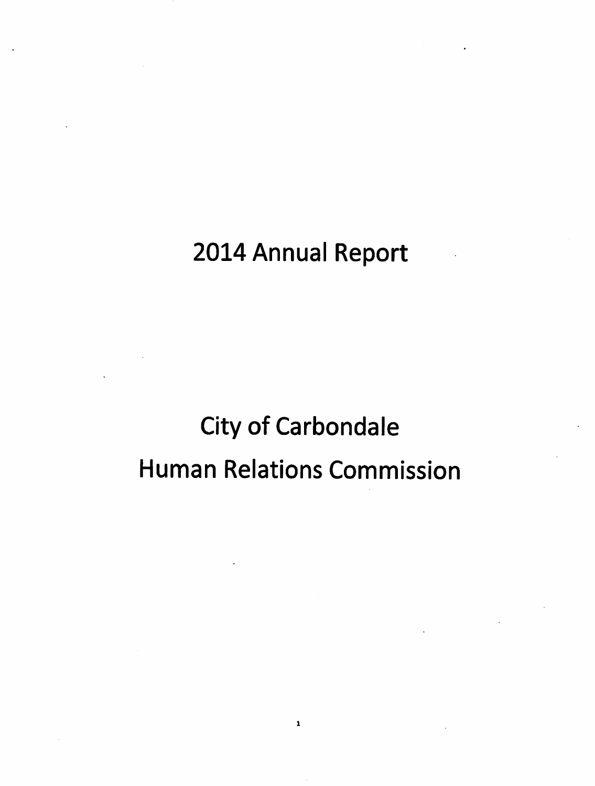# 2014 Annual Report

# **City of Carbondale Human Relations Commission**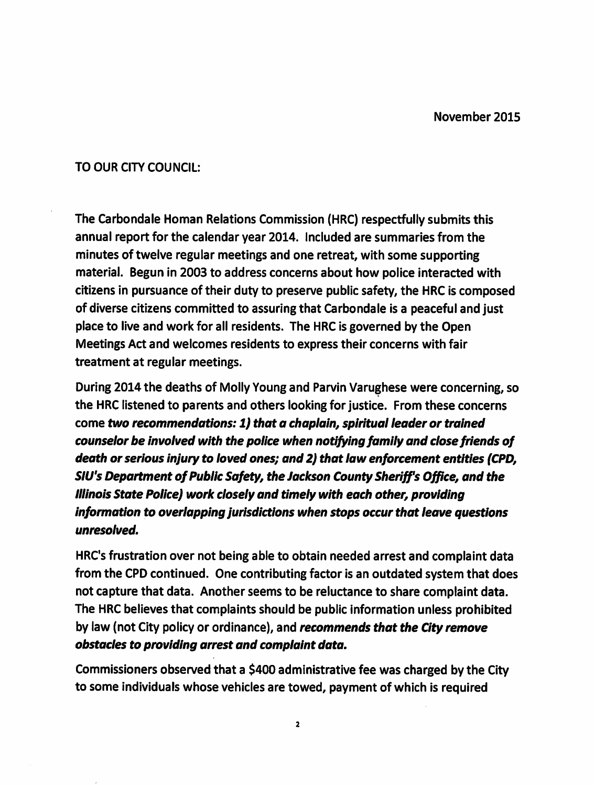# TO OUR CITY COUNCIL:

The Carbondale Homan Relations Commission (HRC) respectfully submits this annual report for the calendar year 2014. Included are summaries from the minutes of twelve regular meetings and one retreat, with some supporting material. Begun in 2003 to address concerns about how police interacted with citizens in pursuance of their duty to preserve public safety, the HRC is composed of diverse citizens committed to assuring that Carbondale is a peaceful and just place to live and work for all residents. The HRC is governed by the Open Meetings Act and welcomes residents to express their concerns with fair treatment at regular meetings.

During 2014 the deaths of Molly Young and Parvin Varughese were concerning, so the HRC listened to parents and others looking for justice. From these concerns come two recommendations: 1) that a chaplain, spiritual leader or trained counselor be involved with the police when notifying family and close friends of death or serious injury to loved ones; and 2) that law enforcement entities (CPD, SIU's Department of Public Safety, the Jackson County Sheriff's Office, and the Illinois State Police) work closely and timely with each other, providing information to overlapping jurisdictions when stops occur that leave questions unresolved.

HRC's frustration over not being able to obtain needed arrest and complaint data from the CPD continued. One contributing factor is an outdated system that does not capture that data. Another seems to be reluctance to share complaint data. The HRC believes that complaints should be public information unless prohibited by law (not City policy or ordinance), and recommends that the City remove obstacles to providing arrest and complaint data.

Commissioners observed that a \$400 administrative fee was charged by the City to some individuals whose vehicles are towed, payment of which is required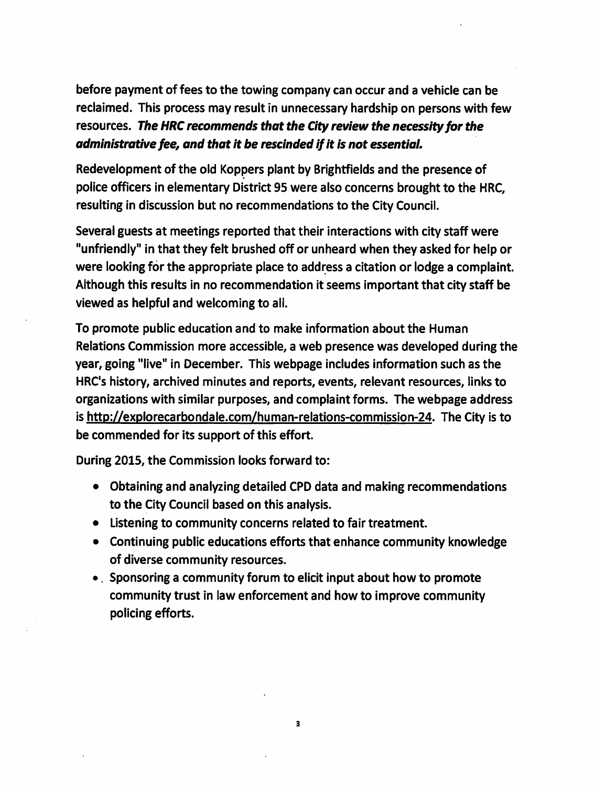before payment of fees to the towing company can occur and a vehicle can be reclaimed. This process may result in unnecessary hardship on persons with few resources. The HRC recommends that the City review the necessity for the administrative fee, and that it be rescinded if it is not essential.

Redevelopment of the old Koppers plant by Brightfields and the presence of police officers in elementary District 95 were also concerns brought to the HRC, resulting in discussion but no recommendations to the City Council.

Several guests at meetings reported that their interactions with city staff were "unfriendly" in that they felt brushed off or unheard when they asked for help or were looking for the appropriate place to address a citation or lodge a complaint. Although this results in no recommendation it seems important that city staff be viewed as helpful and welcoming to all.

To promote public education and to make information about the Human Relations Commission more accessible, a web presence was developed during the year, going "live" in December. This webpage includes information such as the HRC's history, archived minutes and reports, events, relevant resources, links to organizations with similar purposes, and complaint forms. The webpage address is http://explorecarbondale.com/human-relations-commission-24. The City is to be commended for its support of this effort.

During 2015, the Commission looks forward to:

- Obtaining and analyzing detailed CPD data and making recommendations to the City Council based on this analysis.
- Listening to community concerns related to fair treatment.
- Continuing public educations efforts that enhance community knowledge of diverse community resources.
- Sponsoring a community forum to elicit input about how to promote community trust in law enforcement and how to improve community policing efforts.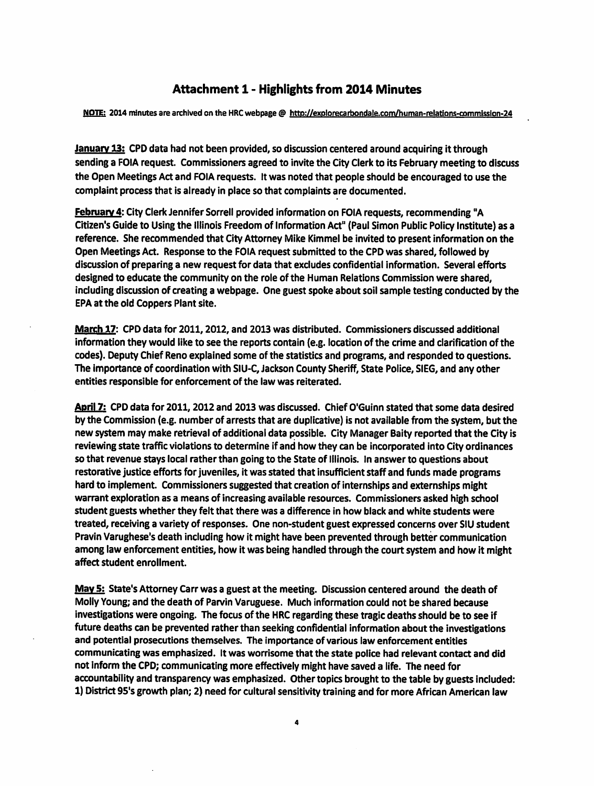# **Attachment 1 - Highlights from 2014 Minutes**

NOTE: 2014 minutes are archived on the HRC webpage @ http://explorecarbondale.com/human-relations-commission-24

January 13: CPD data had not been provided, so discussion centered around acquiring it through sending a FOIA request. Commissioners agreed to invite the City Clerk to its February meeting to discuss the Open Meetings Act and FOIA requests. It was noted that people should be encouraged to use the complaint process that is already in place so that complaints are documented.

February 4: City Clerk Jennifer Sorrell provided information on FOIA requests, recommending "A Citizen's Guide to Using the Illinois Freedom of Information Act" (Paul Simon Public Policy Institute) as a reference. She recommended that City Attorney Mike Kimmel be invited to present information on the Open Meetings Act. Response to the FOIA request submitted to the CPD was shared, followed by discussion of preparing a new request for data that excludes confidential information. Several efforts designed to educate the community on the role of the Human Relations Commission were shared, including discussion of creating a webpage. One guest spoke about soil sample testing conducted by the EPA at the old Coppers Plant site.

March 17: CPD data for 2011, 2012, and 2013 was distributed. Commissioners discussed additional information they would like to see the reports contain (e.g. location of the crime and clarification of the codes). Deputy Chief Reno explained some of the statistics and programs, and responded to questions. The importance of coordination with SIU-C, Jackson County Sheriff, State Police, SIEG, and any other entities responsible for enforcement of the law was reiterated.

April 7: CPD data for 2011, 2012 and 2013 was discussed. Chief O'Guinn stated that some data desired by the Commission (e.g. number of arrests that are duplicative) is not available from the system, but the new system may make retrieval of additional data possible. City Manager Baity reported that the City is reviewing state traffic violations to determine if and how they can be incorporated into City ordinances so that revenue stays local rather than going to the State of Illinois. In answer to questions about restorative justice efforts for juveniles, it was stated that insufficient staff and funds made programs hard to implement. Commissioners suggested that creation of internships and externships might warrant exploration as a means of increasing available resources. Commissioners asked high school student guests whether they felt that there was a difference in how black and white students were treated, receiving a variety of responses. One non-student guest expressed concerns over SIU student Pravin Varughese's death including how it might have been prevented through better communication among law enforcement entities, how it was being handled through the court system and how it might affect student enrollment.

May 5: State's Attorney Carr was a guest at the meeting. Discussion centered around the death of Molly Young; and the death of Parvin Varuguese. Much information could not be shared because investigations were ongoing. The focus of the HRC regarding these tragic deaths should be to see if future deaths can be prevented rather than seeking confidential information about the investigations and potential prosecutions themselves. The importance of various law enforcement entities communicating was emphasized. It was worrisome that the state police had relevant contact and did not inform the CPD; communicating more effectively might have saved a life. The need for accountability and transparency was emphasized. Other topics brought to the table by guests included: 1) District 95's growth plan; 2) need for cultural sensitivity training and for more African American law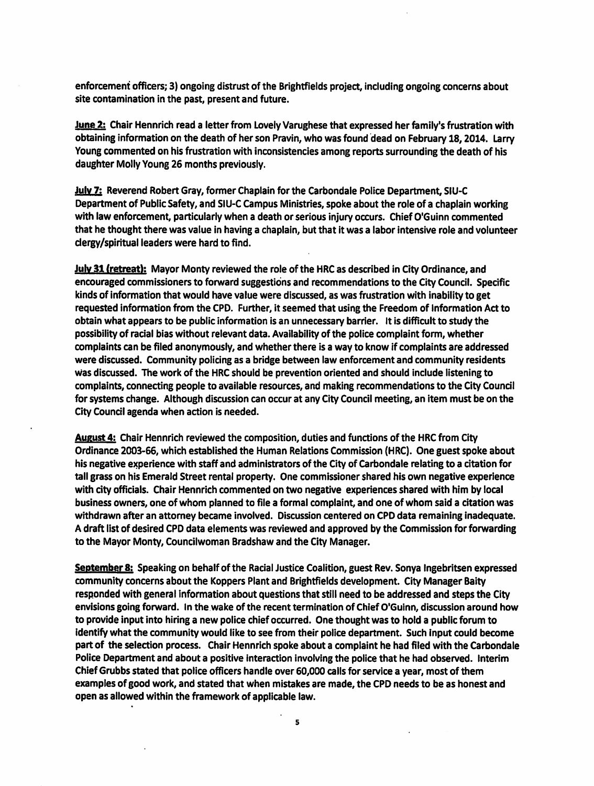enforcement officers; 3) ongoing distrust of the Brightfields project, including ongoing concerns about site contamination in the past, present and future.

June 2: Chair Hennrich read a letter from Lovely Varughese that expressed her family's frustration with obtaining information on the death of her son Pravin, who was found dead on February 18, 2014. Larry Young commented on his frustration with inconsistencies among reports surrounding the death of his daughter Molly Young 26 months previously.

**July 7:** Reverend Robert Gray, former Chaplain for the Carbondale Police Department, SIU-C Department of Public Safety, and SIU-C Campus Ministries, spoke about the role of a chaplain working with law enforcement, particularly when a death or serious injury occurs. Chief O'Guinn commented that he thought there was value in having a chaplain, but that it was a labor intensive role and volunteer dergy/spiritual leaders were hard to find.

July 31 (retreat): Mayor Monty reviewed the role of the HRC as described in City Ordinance, and encouraged commissioners to forward suggestions and recommendations to the City Council. Specific kinds of information that would have value were discussed, as was frustration with inability to get requested information from the CPD. Further, it seemed that using the Freedom of Information Act to obtain what appears to be public information is an unnecessary barrier. It is difficult to study the possibility of racial bias without relevant data. Availability of the police complaint form, whether complaints can be filed anonymously, and whether there is a way to know if complaints are addressed were discussed. Community policing as a bridge between law enforcement and community residents was discussed. The work of the HRC should be prevention oriented and should include listening to complaints, connecting people to available resources, and making recommendations to the City Council for systems change. Although discussion can occur at any City Council meeting, an item must be on the City Council agenda when action is needed.

**August 4:** Chair Hennrich reviewed the composition, duties and functions of the HRC from City Ordinance 2003-66, which established the Human Relations Commission (HRC). One guest spoke about his negative experience with staff and administrators of the City of Carbondale relating to a citation for tall grass on his Emerald Street rental property. One commissioner shared his own negative experience with city officials. Chair Hennrich commented on two negative experiences shared with him by local business owners, one of whom planned to file a formal complaint, and one of whom said a citation was withdrawn after an attorney became involved. Discussion centered on CPD data remaining inadequate. A draft list of desired CPD data elements was reviewed and approved by the Commission for forwarding to the Mayor Monty, Councilwoman Bradshaw and the City Manager.

September 8: Speaking on behalf of the Racial Justice Coalition, guest Rev. Sonya Ingebritsen expressed community concerns about the Koppers Plant and Brightfields development. City Manager Baity responded with general information about questions that still need to be addressed and steps the City envisions going forward. In the wake of the recent termination of Chief O'Guinn, discussion around how to provide input into hiring a new police chief occurred. One thought was to hold a public forum to identify what the community would like to see from their police department. Such input could become part of the selection process. Chair Hennrich spoke about a complaint he had filed with the Carbondale Police Department and about a positive interaction involving the police that he had observed. Interim Chief Grubbs stated that police officers handle over 60,000 calls for service a year, most of them examples of good work, and stated that when mistakes are made, the CPD needs to be as honest and open as allowed within the framework of applicable law.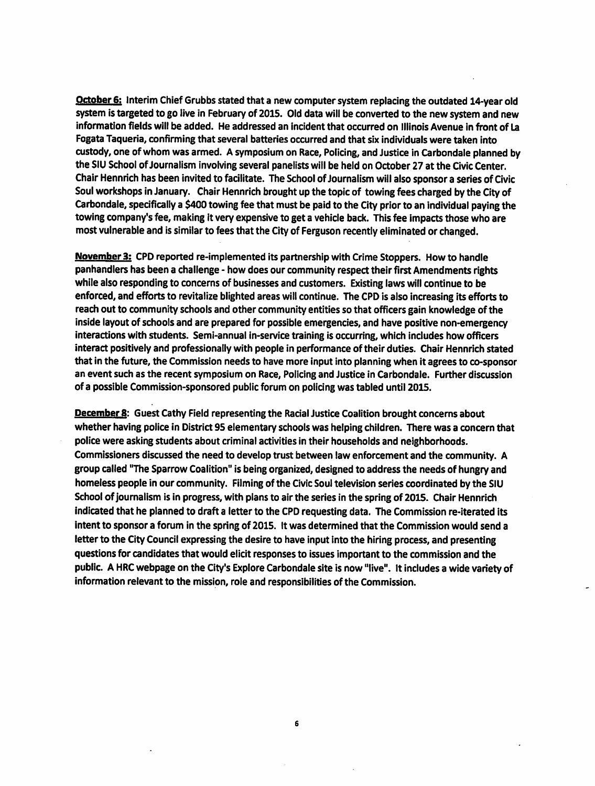October 6: Interim Chief Grubbs stated that a new computer system replacing the outdated 14-year old system is targeted to go live in February of 2015. Old data will be converted to the new system and new information fields will be added. He addressed an incident that occurred on Illinois Avenue in front of La Fogata Taqueria, confirming that several batteries occurred and that six individuals were taken into custody, one of whom was armed. A symposium on Race, Policing, and Justice in Carbondale planned by the SIU School of Journalism involving several panelists will be held on October 27 at the Civic Center. Chair Hennrich has been invited to facilitate. The School of Journalism will also sponsor a series of Civic Soul workshops in January. Chair Hennrich brought up the topic of towing fees charged by the City of Carbondale, specifically a \$400 towing fee that must be paid to the City prior to an individual paying the towing company's fee, making it very expensive to get a vehicle back. This fee impacts those who are most vulnerable and is similar to fees that the City of Ferguson recently eliminated or changed.

November 3: CPD reported re-implemented its partnership with Crime Stoppers. How to handle panhandlers has been a challenge - how does our community respect their first Amendments rights while also responding to concerns of businesses and customers. Existing laws will continue to be enforced, and efforts to revitalize blighted areas will continue. The CPD is also increasing its efforts to reach out to community schools and other community entities so that officers gain knowledge of the inside layout of schools and are prepared for possible emergencies, and have positive non-emergency interactions with students. Semi-annual in-service training is occurring, which includes how officers interact positively and professionally with people in performance of their duties. Chair Hennrich stated that in the future, the Commission needs to have more input into planning when it agrees to co-sponsor an event such as the recent symposium on Race, Policing and Justice in Carbondale. Further discussion of a possible Commission-sponsored public forum on policing was tabled until 2015.

**December 8:** Guest Cathy Field representing the Racial Justice Coalition brought concerns about whether having police in District 95 elementary schools was helping children. There was a concern that police were asking students about criminal activities in their households and neighborhoods. Commissioners discussed the need to develop trust between law enforcement and the community. A group called "The Sparrow Coalition" is being organized, designed to address the needs of hungry and homeless people in our community. Filming of the Civic Soul television series coordinated by the SIU School of journalism is in progress, with plans to air the series in the spring of 2015. Chair Hennrich indicated that he planned to draft a letter to the CPD requesting data. The Commission re-iterated its intent to sponsor a forum in the spring of 2015. It was determined that the Commission would send a letter to the City Council expressing the desire to have input into the hiring process, and presenting questions for candidates that would elicit responses to issues important to the commission and the public. A HRC webpage on the City's Explore Carbondale site is now "live". It includes a wide variety of information relevant to the mission, role and responsibilities of the Commission.

 $6\phantom{a}$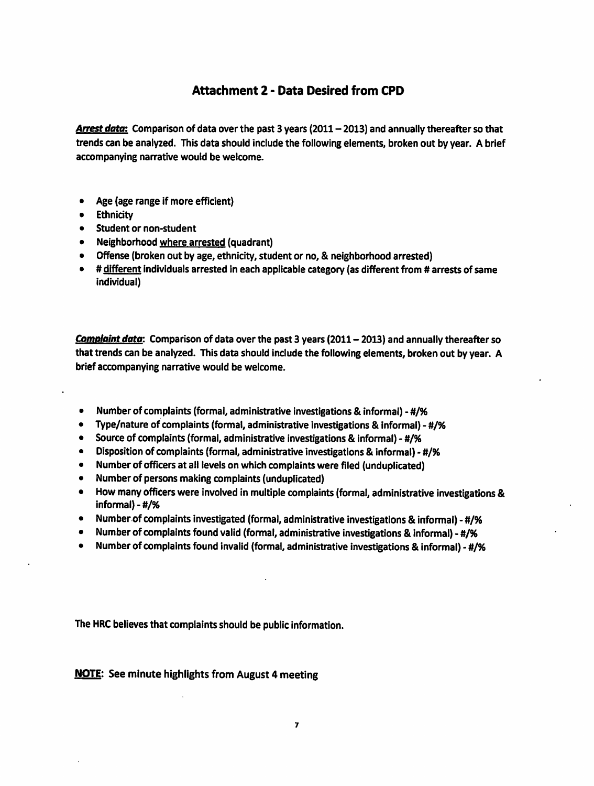# **Attachment 2 - Data Desired from CPD**

Arrest data: Comparison of data over the past 3 years (2011 - 2013) and annually thereafter so that trends can be analyzed. This data should include the following elements, broken out by year. A brief accompanying narrative would be welcome.

- Age (age range if more efficient)  $\bullet$
- **Ethnicity**
- **Student or non-student**
- Neighborhood where arrested (quadrant)
- Offense (broken out by age, ethnicity, student or no, & neighborhood arrested)
- # different individuals arrested in each applicable category (as different from # arrests of same individual)

Complaint data: Comparison of data over the past 3 years (2011 - 2013) and annually thereafter so that trends can be analyzed. This data should include the following elements, broken out by year. A brief accompanying narrative would be welcome.

- $\bullet$ Number of complaints (formal, administrative investigations & informal) - #/%
- Type/nature of complaints (formal, administrative investigations & informal) #/%  $\bullet$
- Source of complaints (formal, administrative investigations & informal) #/%
- Disposition of complaints (formal, administrative investigations & informal) #/%
- Number of officers at all levels on which complaints were filed (unduplicated)
- Number of persons making complaints (unduplicated)  $\bullet$
- $\bullet$ How many officers were involved in multiple complaints (formal, administrative investigations & informal) -  $\#$ /%
- Number of complaints investigated (formal, administrative investigations & informal) #/%
- $\bullet$ Number of complaints found valid (formal, administrative investigations & informal) - #/%
- Number of complaints found invalid (formal, administrative investigations & informal) #/%  $\bullet$

The HRC believes that complaints should be public information.

### **NOTE:** See minute highlights from August 4 meeting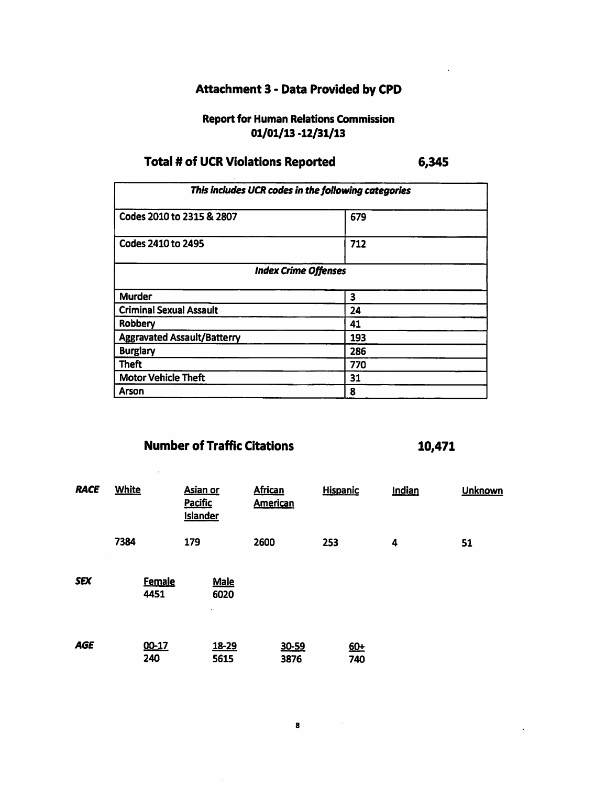# **Attachment 3 - Data Provided by CPD**

# **Report for Human Relations Commission**  $01/01/13 - 12/31/13$

#### **Total # of UCR Violations Reported** 6,345

This includes UCR codes in the following categories Codes 2010 to 2315 & 2807  $679$ Codes 2410 to 2495  $712$ **Index Crime Offenses Murder**  $\overline{\mathbf{3}}$ **Criminal Sexual Assault**  $\overline{24}$ **Robbery**  $\overline{41}$ **Aggravated Assault/Batterry** 193 **Burglary** 286 **Theft**  $770$ **Motor Vehicle Theft**  $31$ Arson 8

# **Number of Traffic Citations**

 $\mathbb{R}^2$ 

| <b>RACE</b> | <b>White</b>          | <b>Asian or</b><br><b>Pacific</b><br><b>Islander</b> | <b>African</b><br><b>American</b> | <b>Hispanic</b> | Indian | <b>Unknown</b> |
|-------------|-----------------------|------------------------------------------------------|-----------------------------------|-----------------|--------|----------------|
|             | 7384                  | 179                                                  | 2600                              | 253             | 4      | 51             |
| <b>SEX</b>  | <b>Female</b><br>4451 | <b>Male</b><br>6020<br>$\bullet$                     |                                   |                 |        |                |
| <b>AGE</b>  | 00-17<br>240          | 18-29<br>5615                                        | 30-59<br>3876                     | $60+$<br>740    |        |                |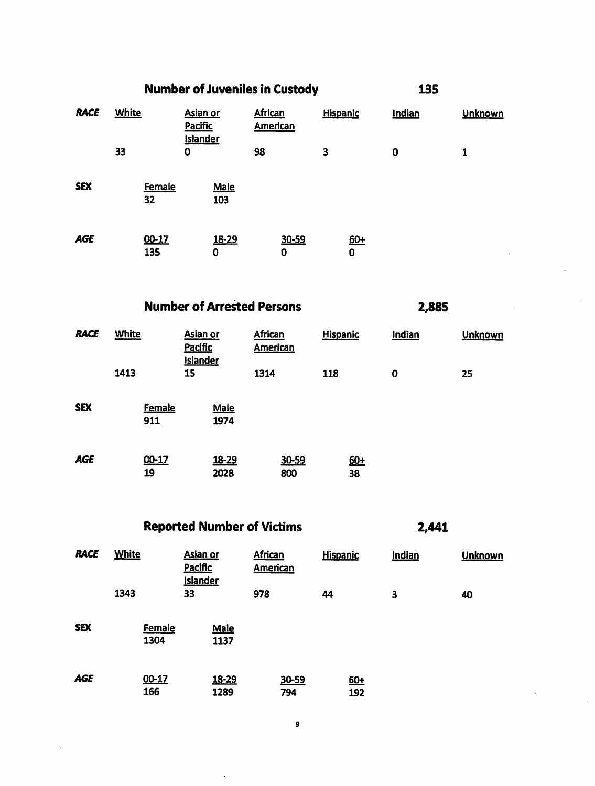|             |              |              |                                                      | <b>Number of Juveniles in Custody</b> |                                   |            |                 |                   | 135         |  |                |
|-------------|--------------|--------------|------------------------------------------------------|---------------------------------------|-----------------------------------|------------|-----------------|-------------------|-------------|--|----------------|
| <b>RACE</b> | <b>White</b> |              | <b>Asian or</b><br><b>Pacific</b><br><b>Islander</b> |                                       | <b>African</b><br><b>American</b> |            | <b>Hispanic</b> |                   | Indian      |  | <b>Unknown</b> |
|             | 33           |              | 0                                                    |                                       | 98                                |            | 3               |                   | $\mathbf 0$ |  | 1              |
| <b>SEX</b>  |              | Female<br>32 |                                                      | Male<br>103                           |                                   |            |                 |                   |             |  |                |
| <b>AGE</b>  |              | 00-17<br>135 |                                                      | 18-29<br>0                            |                                   | 30-59<br>0 |                 | $60+$<br>$\bf{0}$ |             |  |                |

**Number of Arrested Persons** 

2,885

| <b>RACE</b> | <b>White</b>         | <b>Asian or</b><br><b>Pacific</b><br><b>Islander</b> | <b>African</b><br><b>American</b> | <b>Hispanic</b> | Indian      | <b>Unknown</b> |
|-------------|----------------------|------------------------------------------------------|-----------------------------------|-----------------|-------------|----------------|
|             | 1413                 | 15                                                   | 1314                              | 118             | $\mathbf 0$ | 25             |
| <b>SEX</b>  | <b>Female</b><br>911 | <b>Male</b><br>1974                                  |                                   |                 |             |                |
| <b>AGE</b>  | 00-17<br>19          | 18-29<br>2028                                        | 30-59<br>800                      | $60+$<br>38     |             |                |

**Reported Number of Victims** 

 $\ddot{\phantom{a}}$ 

 $\ddot{\phantom{a}}$ 

| <b>RACE</b> | <b>White</b> |                       | <b>Asian or</b><br><b>Pacific</b><br><b>Islander</b> |                      | <b>African</b><br>American |              | <b>Hispanic</b> |              | Indian | <b>Unknown</b> |
|-------------|--------------|-----------------------|------------------------------------------------------|----------------------|----------------------------|--------------|-----------------|--------------|--------|----------------|
|             | 1343         |                       | 33                                                   |                      | 978                        |              | 44              |              | 3      | 40             |
| <b>SEX</b>  |              | <b>Female</b><br>1304 |                                                      | Male<br>1137         |                            |              |                 |              |        |                |
| <b>AGE</b>  |              | 00-17<br>166          |                                                      | <u>18-29</u><br>1289 |                            | 30-59<br>794 |                 | $60+$<br>192 |        |                |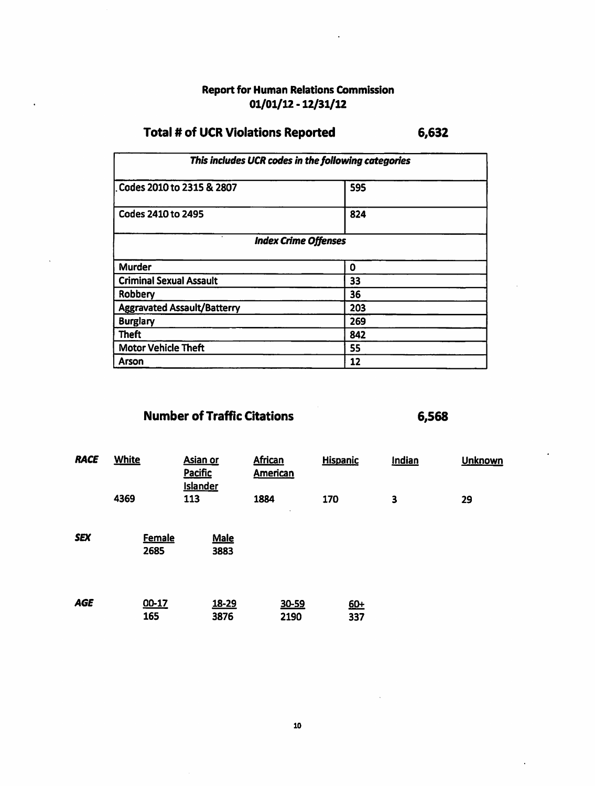# **Report for Human Relations Commission**  $01/01/12 - 12/31/12$

#### **Total # of UCR Violations Reported** 6,632

| This includes UCR codes in the following categories |     |  |  |  |  |  |  |
|-----------------------------------------------------|-----|--|--|--|--|--|--|
| Codes 2010 to 2315 & 2807                           | 595 |  |  |  |  |  |  |
| Codes 2410 to 2495                                  | 824 |  |  |  |  |  |  |
| <b>Index Crime Offenses</b>                         |     |  |  |  |  |  |  |
| <b>Murder</b>                                       | 0   |  |  |  |  |  |  |
| <b>Criminal Sexual Assault</b>                      | 33  |  |  |  |  |  |  |
| Robbery                                             | 36  |  |  |  |  |  |  |
| <b>Aggravated Assault/Batterry</b>                  | 203 |  |  |  |  |  |  |
| <b>Burglary</b>                                     | 269 |  |  |  |  |  |  |
| <b>Theft</b>                                        | 842 |  |  |  |  |  |  |
| <b>Motor Vehicle Theft</b>                          | 55  |  |  |  |  |  |  |
| Arson                                               | 12  |  |  |  |  |  |  |

# **Number of Traffic Citations**

| <b>RACE</b> | <b>White</b>          | <b>Asian or</b><br>Pacific<br><b>Islander</b> | <b>African</b><br><b>American</b> | <b>Hispanic</b> | Indian                  | <b>Unknown</b> |
|-------------|-----------------------|-----------------------------------------------|-----------------------------------|-----------------|-------------------------|----------------|
|             | 4369                  | 113                                           | 1884<br>٠                         | 170             | $\overline{\mathbf{3}}$ | 29             |
| <b>SEX</b>  | <b>Female</b><br>2685 | <b>Male</b><br>3883                           |                                   |                 |                         |                |
| <b>AGE</b>  | 00-17<br>165          | 18-29<br>3876                                 | 30-59<br>2190                     | 60+<br>337      |                         |                |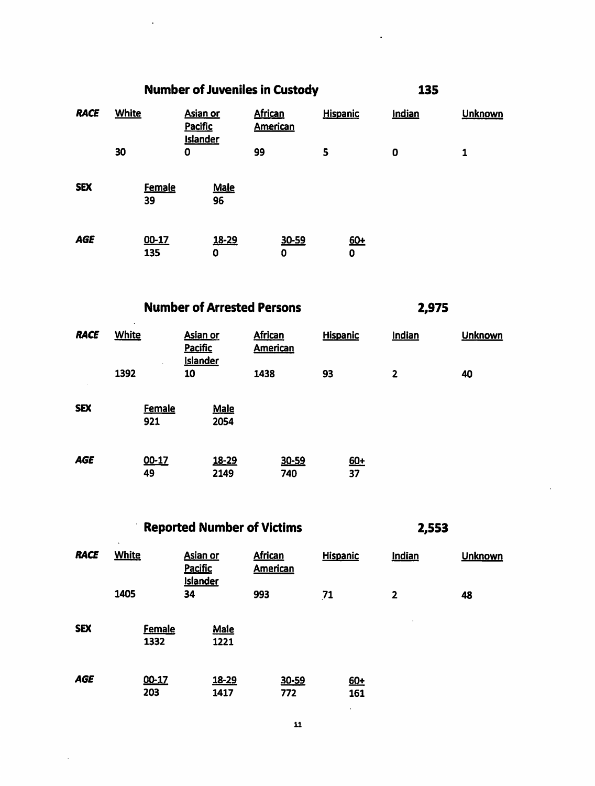|             | <b>Number of Juveniles in Custody</b> |                     |                                               |            |                                   |            |                 |            | 135         |  |         |
|-------------|---------------------------------------|---------------------|-----------------------------------------------|------------|-----------------------------------|------------|-----------------|------------|-------------|--|---------|
| <b>RACE</b> | <b>White</b>                          |                     | <b>Asian or</b><br>Pacific<br><b>Islander</b> |            | <b>African</b><br><b>American</b> |            | <b>Hispanic</b> |            | Indian      |  | Unknown |
|             | 30                                    |                     | $\mathbf 0$                                   |            | 99                                |            | 5               |            | $\mathbf 0$ |  | 1       |
| <b>SEX</b>  |                                       | <b>Female</b><br>39 |                                               | Male<br>96 |                                   |            |                 |            |             |  |         |
| AGE         |                                       | $00-17$<br>135      |                                               | 18-29<br>0 |                                   | 30-59<br>0 |                 | $60+$<br>0 |             |  |         |

# **Number of Arrested Persons**

2,975

| <b>RACE</b> | <b>White</b><br>$\mathbf{r}$ | <b>Asian or</b><br><b>Pacific</b><br><b>Islander</b> | <b>African</b><br><b>American</b> | <b>Hispanic</b> | Indian         | <b>Unknown</b> |
|-------------|------------------------------|------------------------------------------------------|-----------------------------------|-----------------|----------------|----------------|
|             | 1392                         | 10                                                   | 1438                              | 93              | $\overline{2}$ | 40             |
| <b>SEX</b>  | <b>Female</b><br>921         | <b>Male</b><br>2054                                  |                                   |                 |                |                |
| <b>AGE</b>  | 00-17<br>49                  | 18-29<br>2149                                        | 30-59<br>740                      | $60+$<br>37     |                |                |

Reported Number of Victims

| <b>RACE</b> | <b>White</b>          | Asian or<br><b>Pacific</b><br><b>Islander</b> | <b>African</b><br><b>American</b> | <b>Hispanic</b>           | <b>Indian</b>           | <b>Unknown</b> |
|-------------|-----------------------|-----------------------------------------------|-----------------------------------|---------------------------|-------------------------|----------------|
|             | 1405                  | 34                                            | 993                               | 71                        | $\overline{\mathbf{2}}$ | 48             |
| <b>SEX</b>  | <b>Female</b><br>1332 | Male<br>1221                                  |                                   |                           |                         |                |
| <b>AGE</b>  | 00-17<br>203          | 18-29<br>1417                                 | 30-59<br>772                      | $60+$<br>161<br>$\bullet$ |                         |                |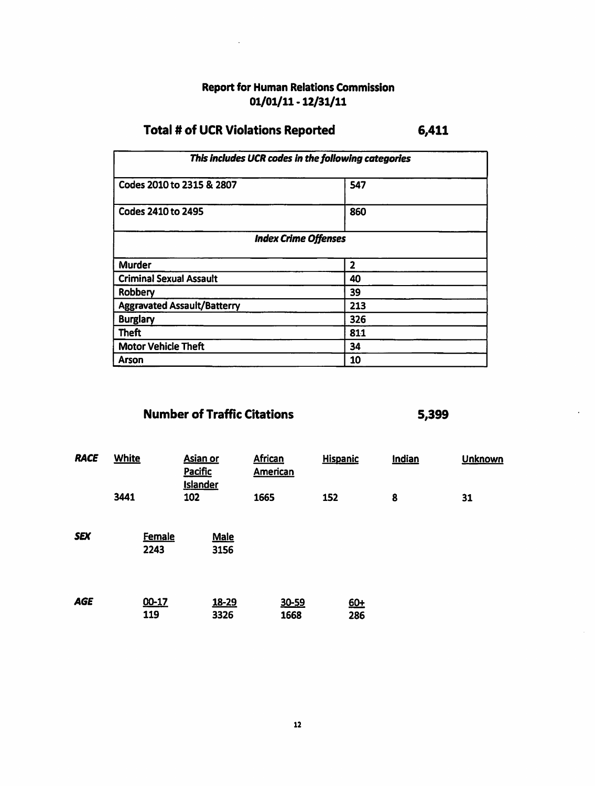# **Report for Human Relations Commission**  $01/01/11 - 12/31/11$

#### **Total # of UCR Violations Reported** 6,411

| This includes UCR codes in the following categories |              |  |  |  |  |  |  |
|-----------------------------------------------------|--------------|--|--|--|--|--|--|
| Codes 2010 to 2315 & 2807                           | 547          |  |  |  |  |  |  |
| <b>Codes 2410 to 2495</b>                           | 860          |  |  |  |  |  |  |
| <b>Index Crime Offenses</b>                         |              |  |  |  |  |  |  |
| <b>Murder</b>                                       | $\mathbf{2}$ |  |  |  |  |  |  |
| <b>Criminal Sexual Assault</b>                      | 40           |  |  |  |  |  |  |
| Robbery                                             | 39           |  |  |  |  |  |  |
| <b>Aggravated Assault/Batterry</b>                  | 213          |  |  |  |  |  |  |
| <b>Burglary</b>                                     | 326          |  |  |  |  |  |  |
| <b>Theft</b>                                        | 811          |  |  |  |  |  |  |
| <b>Motor Vehicle Theft</b>                          | 34           |  |  |  |  |  |  |
| <b>Arson</b>                                        | 10           |  |  |  |  |  |  |

# **Number of Traffic Citations**

| <b>RACE</b> | <b>White</b>          | <b>Asian or</b><br><b>Pacific</b><br><b>Islander</b> | <b>African</b><br><b>American</b> | <b>Hispanic</b> | Indian | <b>Unknown</b> |
|-------------|-----------------------|------------------------------------------------------|-----------------------------------|-----------------|--------|----------------|
|             | 3441                  | 102                                                  | 1665                              | 152             | 8      | 31             |
| <b>SEX</b>  | <b>Female</b><br>2243 | <b>Male</b><br>3156                                  |                                   |                 |        |                |
| <b>AGE</b>  | 00-17<br>119          | 18-29<br>3326                                        | 30-59<br>1668                     | 60+<br>286      |        |                |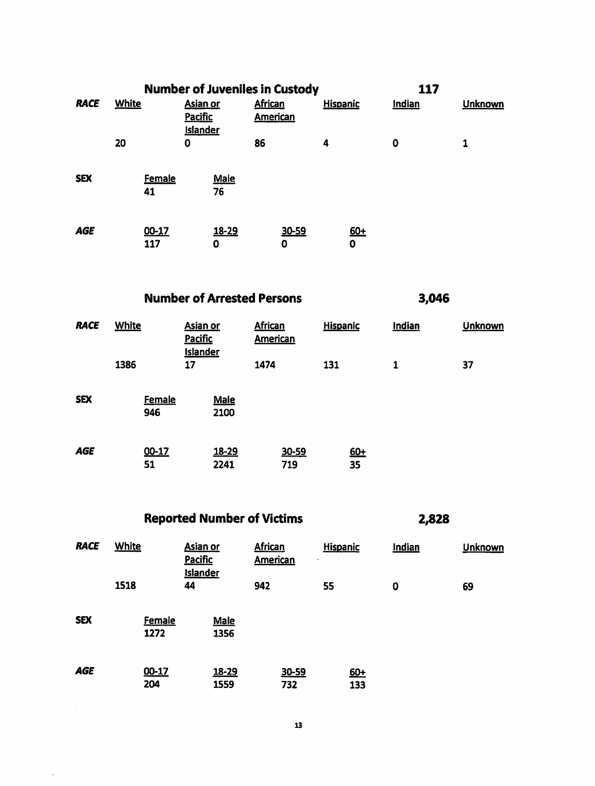|             |              |               |                                               |                   |                                   | <b>Number of Juveniles in Custody</b> |                 |            |          | 117 |                |
|-------------|--------------|---------------|-----------------------------------------------|-------------------|-----------------------------------|---------------------------------------|-----------------|------------|----------|-----|----------------|
| <b>RACE</b> | <b>White</b> |               | <b>Asian or</b><br>Pacific<br><b>Islander</b> |                   | <b>African</b><br><b>American</b> |                                       | <b>Hispanic</b> |            | Indian   |     | <b>Unknown</b> |
|             | 20           |               | 0                                             |                   | 86                                |                                       | 4               |            | $\bf{0}$ |     | 1              |
| <b>SEX</b>  | 41           | <b>Female</b> |                                               | <b>Male</b><br>76 |                                   |                                       |                 |            |          |     |                |
| <b>AGE</b>  |              | 00-17<br>117  |                                               | 18-29<br>0        |                                   | 30-59<br>0                            |                 | $60+$<br>0 |          |     |                |

**Number of Arrested Persons** 

3,046

| <b>RACE</b> | <b>White</b>         | Asian or<br><b>Pacific</b><br><b>Islander</b> | <b>African</b><br>American | <b>Hispanic</b> | Indian | <b>Unknown</b> |
|-------------|----------------------|-----------------------------------------------|----------------------------|-----------------|--------|----------------|
|             | 1386                 | 17                                            | 1474                       | 131             | 1      | 37             |
| <b>SEX</b>  | <b>Female</b><br>946 | <b>Male</b><br>2100                           |                            |                 |        |                |
| <b>AGE</b>  | 00-17<br>51          | 18-29<br>2241                                 | 30-59<br>719               | $60+$<br>35     |        |                |

**Reported Number of Victims** 

 $\hat{\mathcal{A}}$ 

| <b>RACE</b> | <b>White</b>          | Asian or<br><b>Pacific</b><br><b>Islander</b> | <b>African</b><br><b>American</b> | <b>Hispanic</b><br>$\bullet$ | Indian      | <b>Unknown</b> |
|-------------|-----------------------|-----------------------------------------------|-----------------------------------|------------------------------|-------------|----------------|
|             | 1518                  | 44                                            | 942                               | 55                           | $\mathbf 0$ | 69             |
| <b>SEX</b>  | <b>Female</b><br>1272 | <b>Male</b><br>1356                           |                                   |                              |             |                |
| <b>AGE</b>  | 00-17<br>204          | 18-29<br>1559                                 | 30-59<br>732                      | $60+$<br>133                 |             |                |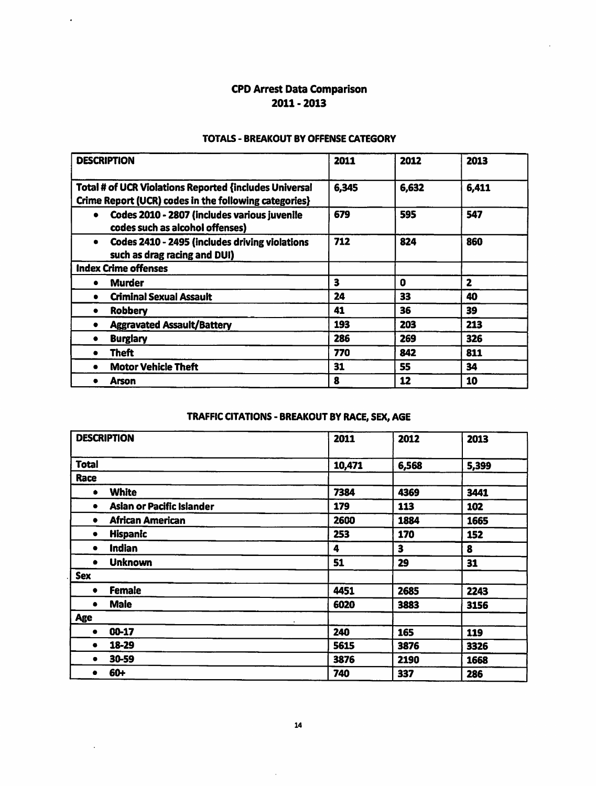# **CPD Arrest Data Comparison**  $2011 - 2013$

 $\ddot{\phantom{a}}$ 

 $\ddot{\phantom{a}}$ 

### **TOTALS - BREAKOUT BY OFFENSE CATEGORY**

| <b>DESCRIPTION</b>                                                                                                     | 2011  | 2012  | 2013         |
|------------------------------------------------------------------------------------------------------------------------|-------|-------|--------------|
| <b>Total # of UCR Violations Reported {includes Universal</b><br>Crime Report (UCR) codes in the following categories} | 6,345 | 6,632 | 6,411        |
| Codes 2010 - 2807 (includes various juvenile<br>$\bullet$<br>codes such as alcohol offenses)                           | 679   | 595   | 547          |
| Codes 2410 - 2495 (includes driving violations<br>$\bullet$<br>such as drag racing and DUI)                            | 712   | 824   | 860          |
| <b>Index Crime offenses</b>                                                                                            |       |       |              |
| <b>Murder</b><br>٠                                                                                                     | 3     | 0     | $\mathbf{z}$ |
| <b>Criminal Sexual Assault</b><br>$\bullet$                                                                            | 24    | 33    | 40           |
| <b>Robbery</b><br>٠                                                                                                    | 41    | 36    | 39           |
| <b>Aggravated Assault/Battery</b>                                                                                      | 193   | 203   | 213          |
| <b>Burglary</b><br>٠                                                                                                   | 286   | 269   | 326          |
| Theft<br>$\bullet$                                                                                                     | 770   | 842   | 811          |
| <b>Motor Vehicle Theft</b>                                                                                             | 31    | 55    | 34           |
| Arson                                                                                                                  | 8     | 12    | 10           |

# TRAFFIC CITATIONS - BREAKOUT BY RACE, SEX, AGE

| <b>DESCRIPTION</b>                    | 2011      | 2012  | 2013  |
|---------------------------------------|-----------|-------|-------|
| <b>Total</b>                          | 10,471    | 6,568 | 5,399 |
| Race                                  |           |       |       |
| <b>White</b><br>$\bullet$             | 7384      | 4369  | 3441  |
| <b>Asian or Pacific Islander</b><br>٠ | 179       | 113   | 102   |
| African American<br>٠                 | 2600      | 1884  | 1665  |
| <b>Hispanic</b><br>٠                  | 253       | 170   | 152   |
| Indian                                | 4         | 3     | 8     |
| <b>Unknown</b><br>٠                   | 51        | 29    | 31    |
| <b>Sex</b>                            |           |       |       |
| <b>Female</b><br>٠                    | 4451      | 2685  | 2243  |
| <b>Male</b>                           | 6020      | 3883  | 3156  |
| <b>Age</b>                            | $\bullet$ |       |       |
| 00-17<br>$\bullet$                    | 240       | 165   | 119   |
| 18-29<br>٠                            | 5615      | 3876  | 3326  |
| 30-59                                 | 3876      | 2190  | 1668  |
| 60+                                   | 740       | 337   | 286   |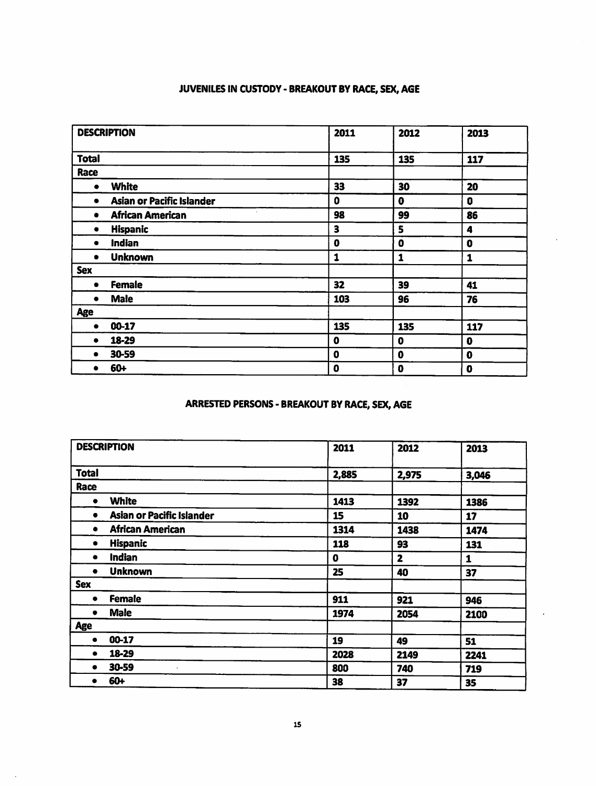# JUVENILES IN CUSTODY - BREAKOUT BY RACE, SEX, AGE

| <b>DESCRIPTION</b> |                                  | 2011        | 2012        | 2013        |
|--------------------|----------------------------------|-------------|-------------|-------------|
| <b>Total</b>       |                                  | 135         | 135         | 117         |
| Race               |                                  |             |             |             |
| ٠                  | <b>White</b>                     | 33          | 30          | 20          |
|                    | <b>Asian or Pacific Islander</b> | 0           | $\bf{0}$    | 0           |
| ٠                  | ٠<br><b>African American</b>     | 98          | 99          | 86          |
| ٠                  | <b>Hispanic</b>                  | 3           | 5           | 4           |
| $\bullet$          | <b>Indian</b>                    | $\mathbf 0$ | $\pmb{0}$   | 0           |
| ٠                  | <b>Unknown</b>                   | 1           | 1           | 1           |
| <b>Sex</b>         |                                  |             |             |             |
| ٠                  | <b>Female</b>                    | 32          | 39          | 41          |
| ٠                  | <b>Male</b>                      | 103         | 96          | 76          |
| Age                |                                  |             |             |             |
| ٠                  | 00-17                            | 135         | 135         | 117         |
|                    | 18-29                            | $\mathbf 0$ | 0           | $\mathbf 0$ |
| ٠                  | 30-59                            | $\mathbf 0$ | $\mathbf 0$ | 0           |
|                    | 60+                              | 0           | 0           | 0           |

# **ARRESTED PERSONS - BREAKOUT BY RACE, SEX, AGE**

| <b>DESCRIPTION</b>                    | 2011  | 2012           | 2013  |
|---------------------------------------|-------|----------------|-------|
| <b>Total</b>                          | 2,885 | 2,975          | 3,046 |
| Race                                  |       |                |       |
| <b>White</b><br>٠                     | 1413  | 1392           | 1386  |
| <b>Asian or Pacific Islander</b><br>٠ | 15    | 10             | 17    |
| <b>African American</b><br>٠          | 1314  | 1438           | 1474  |
| <b>Hispanic</b><br>٠                  | 118   | 93             | 131   |
| Indian<br>٠                           | 0     | $\overline{2}$ | 1     |
| <b>Unknown</b><br>٠                   | 25    | 40             | 37    |
| <b>Sex</b>                            |       |                |       |
| <b>Female</b><br>٠                    | 911   | 921            | 946   |
| <b>Male</b><br>٠                      | 1974  | 2054           | 2100  |
| <b>Age</b>                            |       |                |       |
| 00-17<br>٠                            | 19    | 49             | 51    |
| 18-29<br>٠                            | 2028  | 2149           | 2241  |
| 30-59<br>٠                            | 800   | 740            | 719   |
| 60+                                   | 38    | 37             | 35    |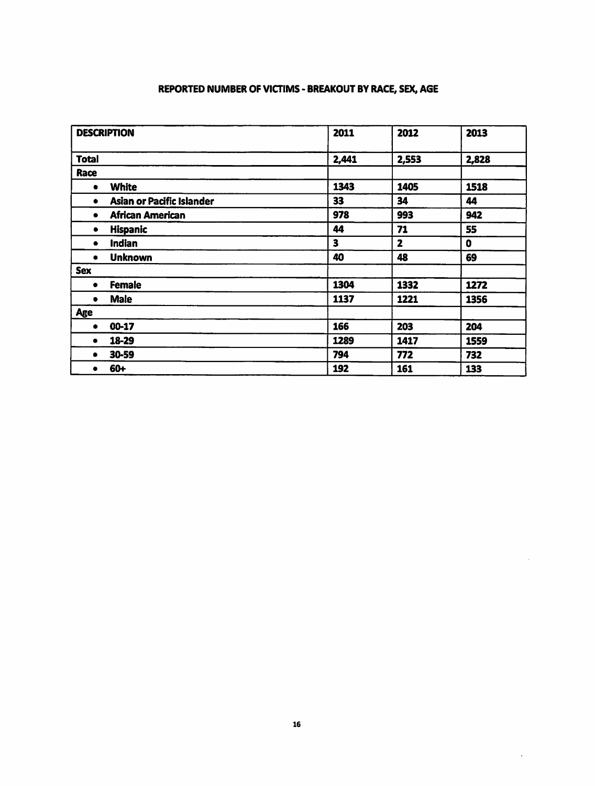## REPORTED NUMBER OF VICTIMS - BREAKOUT BY RACE, SEX, AGE

| <b>DESCRIPTION</b>                    | 2011  | 2012  | 2013        |
|---------------------------------------|-------|-------|-------------|
| <b>Total</b>                          | 2,441 | 2,553 | 2,828       |
| Race                                  |       |       |             |
| <b>White</b><br>$\bullet$             | 1343  | 1405  | 1518        |
| <b>Asian or Pacific Islander</b><br>٠ | 33    | 34    | 44          |
| African American<br>$\bullet$         | 978   | 993   | 942         |
| <b>Hispanic</b><br>٠                  | 44    | 71    | 55          |
| <b>Indian</b><br>٠                    | 3     | 2     | $\mathbf 0$ |
| <b>Unknown</b><br>۰                   | 40    | 48    | 69          |
| <b>Sex</b>                            |       |       |             |
| <b>Female</b><br>٠                    | 1304  | 1332  | 1272        |
| <b>Male</b><br>$\bullet$              | 1137  | 1221  | 1356        |
| Age                                   |       |       |             |
| 00-17<br>٠                            | 166   | 203   | 204         |
| 18-29<br>٠                            | 1289  | 1417  | 1559        |
| 30-59<br>٠                            | 794   | 772   | 732         |
| 60+<br>٠                              | 192   | 161   | 133         |

 $\ddot{\phantom{a}}$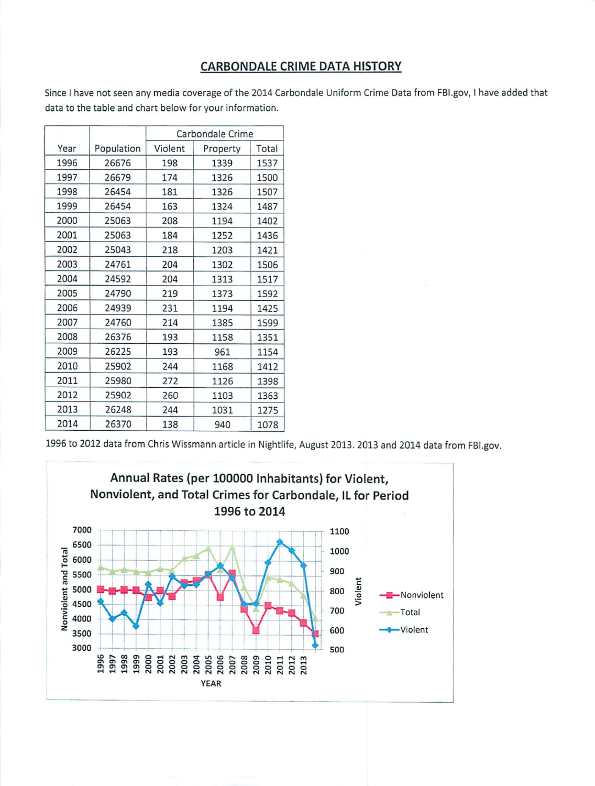# **CARBONDALE CRIME DATA HISTORY**

Since I have not seen any media coverage of the 2014 Carbondale Uniform Crime Data from FBI.gov, I have added that data to the table and chart below for your information.

|      |            | Carbondale Crime |          |       |  |
|------|------------|------------------|----------|-------|--|
| Year | Population | Violent          | Property | Total |  |
| 1996 | 26676      | 198              | 1339     | 1537  |  |
| 1997 | 26679      | 174              | 1326     | 1500  |  |
| 1998 | 26454      | 181              | 1326     | 1507  |  |
| 1999 | 26454      | 163              | 1324     | 1487  |  |
| 2000 | 25063      | 208              | 1194     | 1402  |  |
| 2001 | 25063      | 184              | 1252     | 1436  |  |
| 2002 | 25043      | 218              | 1203     | 1421  |  |
| 2003 | 24761      | 204              | 1302     | 1506  |  |
| 2004 | 24592      | 204              | 1313     | 1517  |  |
| 2005 | 24790      | 219              | 1373     | 1592  |  |
| 2006 | 24939      | 231              | 1194     | 1425  |  |
| 2007 | 24760      | 214              | 1385     | 1599  |  |
| 2008 | 26376      | 193              | 1158     | 1351  |  |
| 2009 | 26225      | 193              | 961      | 1154  |  |
| 2010 | 25902      | 244              | 1168     | 1412  |  |
| 2011 | 25980      | 272              | 1126     | 1398  |  |
| 2012 | 25902      | 260              | 1103     | 1363  |  |
| 2013 | 26248      | 244              | 1031     | 1275  |  |
| 2014 | 26370      | 138              | 940      | 1078  |  |

1996 to 2012 data from Chris Wissmann article in Nightlife, August 2013. 2013 and 2014 data from FBI.gov.

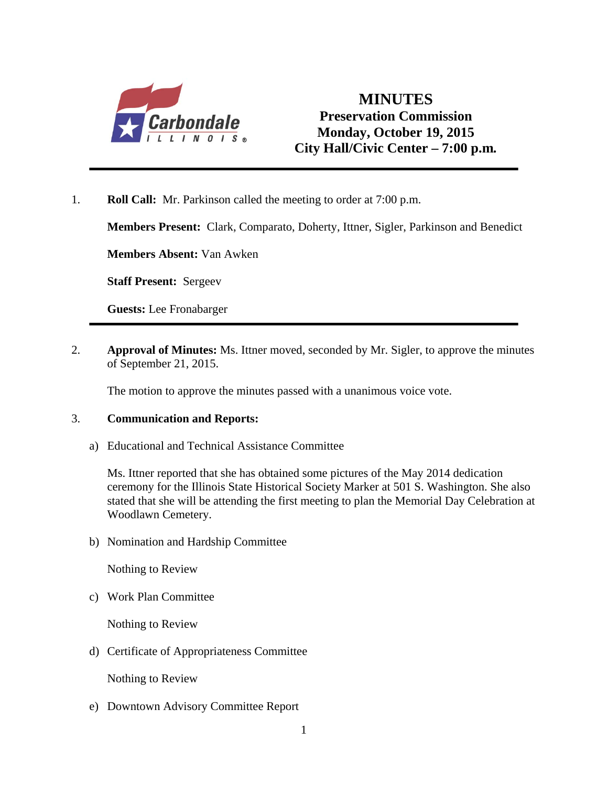

# **MINUTES Preservation Commission Monday, October 19, 2015 City Hall/Civic Center – 7:00 p.m***.*

1. **Roll Call:** Mr. Parkinson called the meeting to order at 7:00 p.m.

**Members Present:** Clark, Comparato, Doherty, Ittner, Sigler, Parkinson and Benedict

**Members Absent:** Van Awken

**Staff Present:** Sergeev

**Guests:** Lee Fronabarger

2. **Approval of Minutes:** Ms. Ittner moved, seconded by Mr. Sigler, to approve the minutes of September 21, 2015.

The motion to approve the minutes passed with a unanimous voice vote.

## 3. **Communication and Reports:**

a) Educational and Technical Assistance Committee

Ms. Ittner reported that she has obtained some pictures of the May 2014 dedication ceremony for the Illinois State Historical Society Marker at 501 S. Washington. She also stated that she will be attending the first meeting to plan the Memorial Day Celebration at Woodlawn Cemetery.

b) Nomination and Hardship Committee

Nothing to Review

c) Work Plan Committee

Nothing to Review

d) Certificate of Appropriateness Committee

Nothing to Review

e) Downtown Advisory Committee Report